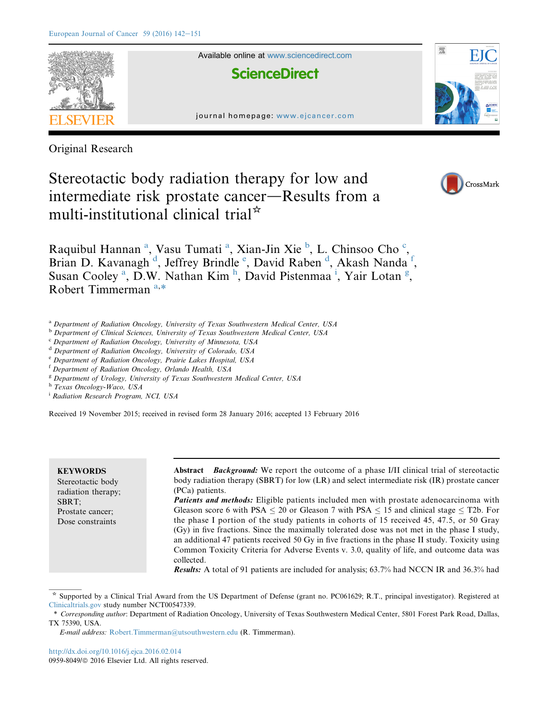

Original Research

# Stereotactic body radiation therapy for low and intermediate risk prostate cancer—Results from a multi-institutional clinical trial<sup> $\star$ </sup>



Raquibul Hannan<sup>a</sup>, Vasu Tumati<sup>a</sup>, Xian-Jin Xie<sup>b</sup>, L. Chinsoo Cho<sup>c</sup>, Brian D. Kavanagh<sup>d</sup>, Jeffrey Brindle<sup>e</sup>, David Raben<sup>d</sup>, Akash Nanda<sup>f</sup>, Susan Cooley<sup>a</sup>, D.W. Nathan Kim<sup>h</sup>, David Pistenmaa<sup>i</sup>, Yair Lotan<sup>g</sup>, Robert Timmerman<sup>a,\*</sup>

- <sup>a</sup> Department of Radiation Oncology, University of Texas Southwestern Medical Center, USA
- b Department of Clinical Sciences, University of Texas Southwestern Medical Center, USA
- $c$  Department of Radiation Oncology, University of Minnesota, USA
- <sup>d</sup> Department of Radiation Oncology, University of Colorado, USA
- <sup>e</sup> Department of Radiation Oncology, Prairie Lakes Hospital, USA
- <sup>f</sup> Department of Radiation Oncology, Orlando Health, USA
- <sup>g</sup> Department of Urology, University of Texas Southwestern Medical Center, USA

h Texas Oncology-Waco, USA

<sup>i</sup> Radiation Research Program, NCI, USA

Received 19 November 2015; received in revised form 28 January 2016; accepted 13 February 2016

#### **KEYWORDS**

Stereotactic body radiation therapy; SBRT; Prostate cancer; Dose constraints

Abstract *Background:* We report the outcome of a phase I/II clinical trial of stereotactic body radiation therapy (SBRT) for low (LR) and select intermediate risk (IR) prostate cancer (PCa) patients.

Patients and methods: Eligible patients included men with prostate adenocarcinoma with Gleason score 6 with PSA  $\leq$  20 or Gleason 7 with PSA  $\leq$  15 and clinical stage  $\leq$  T2b. For the phase I portion of the study patients in cohorts of 15 received 45, 47.5, or 50 Gray (Gy) in five fractions. Since the maximally tolerated dose was not met in the phase I study, an additional 47 patients received 50 Gy in five fractions in the phase II study. Toxicity using Common Toxicity Criteria for Adverse Events v. 3.0, quality of life, and outcome data was collected.

Results: A total of 91 patients are included for analysis; 63.7% had NCCN IR and 36.3% had

<http://dx.doi.org/10.1016/j.ejca.2016.02.014> 0959-8049/© 2016 Elsevier Ltd. All rights reserved.

<sup>\*</sup> Supported by a Clinical Trial Award from the US Department of Defense (grant no. PC061629; R.T., principal investigator). Registered at [Clinicaltrials.gov](http://Clinicaltrials.gov) study number NCT00547339.

<sup>\*</sup> Corresponding author: Department of Radiation Oncology, University of Texas Southwestern Medical Center, 5801 Forest Park Road, Dallas, TX 75390, USA.

E-mail address: [Robert.Timmerman@utsouthwestern.edu](mailto:Robert.Timmerman@utsouthwestern.edu) (R. Timmerman).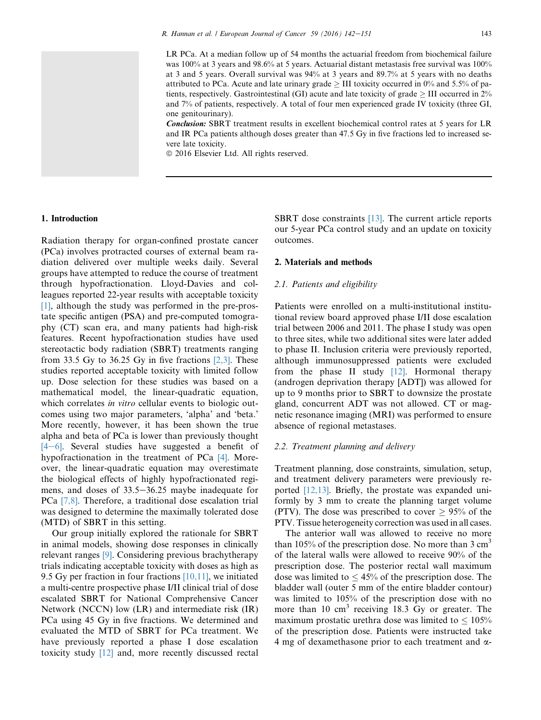LR PCa. At a median follow up of 54 months the actuarial freedom from biochemical failure was 100% at 3 years and 98.6% at 5 years. Actuarial distant metastasis free survival was 100% at 3 and 5 years. Overall survival was 94% at 3 years and 89.7% at 5 years with no deaths attributed to PCa. Acute and late urinary grade  $\geq$  III toxicity occurred in 0% and 5.5% of patients, respectively. Gastrointestinal (GI) acute and late toxicity of grade  $\geq$  III occurred in 2% and 7% of patients, respectively. A total of four men experienced grade IV toxicity (three GI, one genitourinary).

**Conclusion:** SBRT treatment results in excellent biochemical control rates at 5 years for LR and IR PCa patients although doses greater than 47.5 Gy in five fractions led to increased severe late toxicity.

 $© 2016 Elsevier Ltd. All rights reserved.$ 

# 1. Introduction

Radiation therapy for organ-confined prostate cancer (PCa) involves protracted courses of external beam radiation delivered over multiple weeks daily. Several groups have attempted to reduce the course of treatment through hypofractionation. Lloyd-Davies and colleagues reported 22-year results with acceptable toxicity [\[1\],](#page-7-0) although the study was performed in the pre-prostate specific antigen (PSA) and pre-computed tomography (CT) scan era, and many patients had high-risk features. Recent hypofractionation studies have used stereotactic body radiation (SBRT) treatments ranging from 33.5 Gy to 36.25 Gy in five fractions  $[2,3]$ . These studies reported acceptable toxicity with limited follow up. Dose selection for these studies was based on a mathematical model, the linear-quadratic equation, which correlates in vitro cellular events to biologic outcomes using two major parameters, 'alpha' and 'beta.' More recently, however, it has been shown the true alpha and beta of PCa is lower than previously thought  $[4-6]$  $[4-6]$  $[4-6]$ . Several studies have suggested a benefit of hypofractionation in the treatment of PCa [\[4\]](#page-7-0). Moreover, the linear-quadratic equation may overestimate the biological effects of highly hypofractionated regimens, and doses of 33.5–36.25 maybe inadequate for PCa [\[7,8\]](#page-7-0). Therefore, a traditional dose escalation trial was designed to determine the maximally tolerated dose (MTD) of SBRT in this setting.

Our group initially explored the rationale for SBRT in animal models, showing dose responses in clinically relevant ranges [\[9\]](#page-8-0). Considering previous brachytherapy trials indicating acceptable toxicity with doses as high as 9.5 Gy per fraction in four fractions [\[10,11\],](#page-8-0) we initiated a multi-centre prospective phase I/II clinical trial of dose escalated SBRT for National Comprehensive Cancer Network (NCCN) low (LR) and intermediate risk (IR) PCa using 45 Gy in five fractions. We determined and evaluated the MTD of SBRT for PCa treatment. We have previously reported a phase I dose escalation toxicity study [\[12\]](#page-8-0) and, more recently discussed rectal SBRT dose constraints [\[13\].](#page-8-0) The current article reports our 5-year PCa control study and an update on toxicity outcomes.

# 2. Materials and methods

# 2.1. Patients and eligibility

Patients were enrolled on a multi-institutional institutional review board approved phase I/II dose escalation trial between 2006 and 2011. The phase I study was open to three sites, while two additional sites were later added to phase II. Inclusion criteria were previously reported, although immunosuppressed patients were excluded from the phase II study [\[12\]](#page-8-0). Hormonal therapy (androgen deprivation therapy [ADT]) was allowed for up to 9 months prior to SBRT to downsize the prostate gland, concurrent ADT was not allowed. CT or magnetic resonance imaging (MRI) was performed to ensure absence of regional metastases.

# 2.2. Treatment planning and delivery

Treatment planning, dose constraints, simulation, setup, and treatment delivery parameters were previously reported [\[12,13\]](#page-8-0). Briefly, the prostate was expanded uniformly by 3 mm to create the planning target volume (PTV). The dose was prescribed to cover  $\geq$  95% of the PTV. Tissue heterogeneity correction was used in all cases.

The anterior wall was allowed to receive no more than 105% of the prescription dose. No more than  $3 \text{ cm}^3$ of the lateral walls were allowed to receive 90% of the prescription dose. The posterior rectal wall maximum dose was limited to  $\leq 45\%$  of the prescription dose. The bladder wall (outer 5 mm of the entire bladder contour) was limited to 105% of the prescription dose with no more than 10  $\text{cm}^3$  receiving 18.3 Gy or greater. The maximum prostatic urethra dose was limited to  $\leq 105\%$ of the prescription dose. Patients were instructed take 4 mg of dexamethasone prior to each treatment and  $\alpha$ -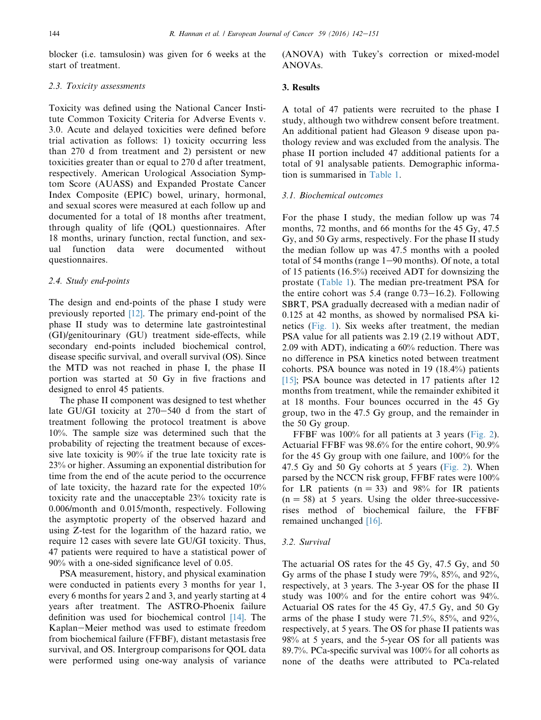blocker (i.e. tamsulosin) was given for 6 weeks at the start of treatment.

# 2.3. Toxicity assessments

Toxicity was defined using the National Cancer Institute Common Toxicity Criteria for Adverse Events v. 3.0. Acute and delayed toxicities were defined before trial activation as follows: 1) toxicity occurring less than 270 d from treatment and 2) persistent or new toxicities greater than or equal to 270 d after treatment, respectively. American Urological Association Symptom Score (AUASS) and Expanded Prostate Cancer Index Composite (EPIC) bowel, urinary, hormonal, and sexual scores were measured at each follow up and documented for a total of 18 months after treatment, through quality of life (QOL) questionnaires. After 18 months, urinary function, rectal function, and sexual function data were documented without questionnaires.

## 2.4. Study end-points

The design and end-points of the phase I study were previously reported [\[12\]](#page-8-0). The primary end-point of the phase II study was to determine late gastrointestinal (GI)/genitourinary (GU) treatment side-effects, while secondary end-points included biochemical control, disease specific survival, and overall survival (OS). Since the MTD was not reached in phase I, the phase II portion was started at 50 Gy in five fractions and designed to enrol 45 patients.

The phase II component was designed to test whether late GU/GI toxicity at  $270-540$  d from the start of treatment following the protocol treatment is above 10%. The sample size was determined such that the probability of rejecting the treatment because of excessive late toxicity is 90% if the true late toxicity rate is 23% or higher. Assuming an exponential distribution for time from the end of the acute period to the occurrence of late toxicity, the hazard rate for the expected 10% toxicity rate and the unacceptable 23% toxicity rate is 0.006/month and 0.015/month, respectively. Following the asymptotic property of the observed hazard and using Z-test for the logarithm of the hazard ratio, we require 12 cases with severe late GU/GI toxicity. Thus, 47 patients were required to have a statistical power of 90% with a one-sided significance level of 0.05.

PSA measurement, history, and physical examination were conducted in patients every 3 months for year 1, every 6 months for years 2 and 3, and yearly starting at 4 years after treatment. The ASTRO-Phoenix failure definition was used for biochemical control [\[14\].](#page-8-0) The Kaplan-Meier method was used to estimate freedom from biochemical failure (FFBF), distant metastasis free survival, and OS. Intergroup comparisons for QOL data were performed using one-way analysis of variance (ANOVA) with Tukey's correction or mixed-model ANOVAs.

# 3. Results

A total of 47 patients were recruited to the phase I study, although two withdrew consent before treatment. An additional patient had Gleason 9 disease upon pathology review and was excluded from the analysis. The phase II portion included 47 additional patients for a total of 91 analysable patients. Demographic information is summarised in [Table 1](#page-3-0).

#### 3.1. Biochemical outcomes

For the phase I study, the median follow up was 74 months, 72 months, and 66 months for the 45 Gy, 47.5 Gy, and 50 Gy arms, respectively. For the phase II study the median follow up was 47.5 months with a pooled total of 54 months (range  $1-90$  months). Of note, a total of 15 patients (16.5%) received ADT for downsizing the prostate ([Table 1](#page-3-0)). The median pre-treatment PSA for the entire cohort was  $5.4$  (range  $0.73-16.2$ ). Following SBRT, PSA gradually decreased with a median nadir of 0.125 at 42 months, as showed by normalised PSA kinetics ([Fig. 1\)](#page-3-0). Six weeks after treatment, the median PSA value for all patients was 2.19 (2.19 without ADT, 2.09 with ADT), indicating a 60% reduction. There was no difference in PSA kinetics noted between treatment cohorts. PSA bounce was noted in 19 (18.4%) patients [\[15\]](#page-8-0); PSA bounce was detected in 17 patients after 12 months from treatment, while the remainder exhibited it at 18 months. Four bounces occurred in the 45 Gy group, two in the 47.5 Gy group, and the remainder in the 50 Gy group.

FFBF was 100% for all patients at 3 years [\(Fig. 2\)](#page-3-0). Actuarial FFBF was 98.6% for the entire cohort, 90.9% for the 45 Gy group with one failure, and 100% for the 47.5 Gy and 50 Gy cohorts at 5 years [\(Fig. 2\)](#page-3-0). When parsed by the NCCN risk group, FFBF rates were 100% for LR patients ( $n = 33$ ) and 98% for IR patients  $(n = 58)$  at 5 years. Using the older three-successiverises method of biochemical failure, the FFBF remained unchanged [\[16\].](#page-8-0)

#### 3.2. Survival

The actuarial OS rates for the 45 Gy, 47.5 Gy, and 50 Gy arms of the phase I study were 79%, 85%, and 92%, respectively, at 3 years. The 3-year OS for the phase II study was 100% and for the entire cohort was 94%. Actuarial OS rates for the 45 Gy, 47.5 Gy, and 50 Gy arms of the phase I study were 71.5%, 85%, and 92%, respectively, at 5 years. The OS for phase II patients was 98% at 5 years, and the 5-year OS for all patients was 89.7%. PCa-specific survival was 100% for all cohorts as none of the deaths were attributed to PCa-related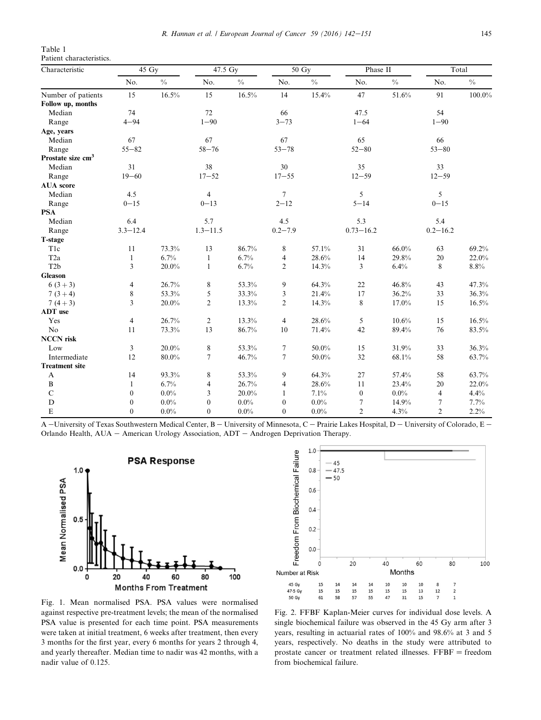<span id="page-3-0"></span>Table 1 Patient characteristics.

| Characteristic                | $45 \text{ Gy}$          |               | 47.5 Gy          |               | $50 \text{ Gy}$  |         | Phase II         |               | Total          |               |
|-------------------------------|--------------------------|---------------|------------------|---------------|------------------|---------|------------------|---------------|----------------|---------------|
|                               | No.                      | $\frac{0}{0}$ | No.              | $\frac{0}{0}$ | No.              | $\%$    | No.              | $\frac{0}{0}$ | No.            | $\frac{0}{0}$ |
| Number of patients            | 15                       | 16.5%         | 15               | 16.5%         | 14               | 15.4%   | 47               | 51.6%         | 91             | 100.0%        |
| Follow up, months             |                          |               |                  |               |                  |         |                  |               |                |               |
| Median                        | 74                       |               | 72               |               | 66               |         | 47.5             |               | 54             |               |
| Range                         | $4 - 94$                 |               | $1 - 90$         |               | $3 - 73$         |         | $1 - 64$         |               | $1 - 90$       |               |
| Age, years                    |                          |               |                  |               |                  |         |                  |               |                |               |
| Median                        | 67                       |               | 67               |               | 67               |         | 65               |               | 66             |               |
| Range                         | $55 - 82$                |               | $58 - 76$        |               | $53 - 78$        |         | $52 - 80$        |               | $53 - 80$      |               |
| Prostate size cm <sup>3</sup> |                          |               |                  |               |                  |         |                  |               |                |               |
| Median                        | 31                       |               | 38               |               | 30               |         | 35               |               | 33             |               |
| Range                         | $19 - 60$                |               | $17 - 52$        |               | $17 - 55$        |         | $12 - 59$        |               | $12 - 59$      |               |
| <b>AUA</b> score              |                          |               |                  |               |                  |         |                  |               |                |               |
| Median                        | 4.5                      |               | $\overline{4}$   |               | $\overline{7}$   |         | 5                |               | 5              |               |
| Range                         | $0 - 15$                 |               | $0 - 13$         |               | $2 - 12$         |         | $5 - 14$         |               | $0 - 15$       |               |
| <b>PSA</b>                    |                          |               |                  |               |                  |         |                  |               |                |               |
| Median                        | 6.4                      |               | 5.7              |               | 4.5              |         | 5.3              |               | 5.4            |               |
| Range                         | $3.3 - 12.4$             |               | $1.3 - 11.5$     |               | $0.2 - 7.9$      |         | $0.73 - 16.2$    |               | $0.2 - 16.2$   |               |
| T-stage                       |                          |               |                  |               |                  |         |                  |               |                |               |
| T <sub>1c</sub>               | 11                       | 73.3%         | 13               | 86.7%         | 8                | 57.1%   | 31               | 66.0%         | 63             | 69.2%         |
| T <sub>2a</sub>               | $\mathbf{1}$             | 6.7%          | $\mathbf{1}$     | 6.7%          | 4                | 28.6%   | 14               | 29.8%         | 20             | 22.0%         |
| T <sub>2</sub> b              | 3                        | $20.0\%$      | $\mathbf{1}$     | 6.7%          | $\mathfrak{2}$   | 14.3%   | 3                | 6.4%          | 8              | 8.8%          |
| <b>Gleason</b>                |                          |               |                  |               |                  |         |                  |               |                |               |
| $6(3+3)$                      | 4                        | 26.7%         | $\,$ 8 $\,$      | 53.3%         | 9                | 64.3%   | $22\,$           | 46.8%         | 43             | 47.3%         |
| $7(3+4)$                      | 8                        | 53.3%         | 5                | 33.3%         | 3                | 21.4%   | 17               | 36.2%         | 33             | 36.3%         |
| $7(4+3)$                      | 3                        | 20.0%         | $\overline{c}$   | 13.3%         | $\overline{c}$   | 14.3%   | 8                | 17.0%         | 15             | 16.5%         |
| <b>ADT</b> use                |                          |               |                  |               |                  |         |                  |               |                |               |
| Yes                           | $\overline{\mathcal{L}}$ | 26.7%         | $\overline{c}$   | 13.3%         | $\overline{4}$   | 28.6%   | 5                | 10.6%         | 15             | 16.5%         |
| N <sub>o</sub>                | 11                       | 73.3%         | 13               | 86.7%         | 10               | 71.4%   | 42               | 89.4%         | 76             | 83.5%         |
| <b>NCCN</b> risk              |                          |               |                  |               |                  |         |                  |               |                |               |
| Low                           | 3                        | 20.0%         | $\,$ 8 $\,$      | 53.3%         | 7                | 50.0%   | 15               | 31.9%         | 33             | 36.3%         |
| Intermediate                  | 12                       | 80.0%         | $\overline{7}$   | 46.7%         | $\tau$           | 50.0%   | 32               | 68.1%         | 58             | 63.7%         |
| <b>Treatment site</b>         |                          |               |                  |               |                  |         |                  |               |                |               |
| A                             | 14                       | 93.3%         | 8                | 53.3%         | 9                | 64.3%   | 27               | 57.4%         | 58             | 63.7%         |
| $\, {\bf B}$                  | $\mathbf{1}$             | 6.7%          | 4                | 26.7%         | 4                | 28.6%   | 11               | 23.4%         | 20             | 22.0%         |
| $\mathbf C$                   | $\overline{0}$           | 0.0%          | 3                | 20.0%         | 1                | 7.1%    | $\boldsymbol{0}$ | $0.0\%$       | $\overline{4}$ | 4.4%          |
| D                             | $\boldsymbol{0}$         | 0.0%          | $\boldsymbol{0}$ | $0.0\%$       | $\boldsymbol{0}$ | $0.0\%$ | 7                | 14.9%         | 7              | 7.7%          |
| $\mathbf E$                   | $\overline{0}$           | 0.0%          | $\mathbf{0}$     | $0.0\%$       | $\boldsymbol{0}$ | $0.0\%$ | $\overline{2}$   | 4.3%          | $\mathfrak{2}$ | 2.2%          |

A -University of Texas Southwestern Medical Center, B - University of Minnesota, C - Prairie Lakes Hospital, D - University of Colorado, E -Orlando Health, AUA - American Urology Association, ADT - Androgen Deprivation Therapy.





Fig. 1. Mean normalised PSA. PSA values were normalised against respective pre-treatment levels; the mean of the normalised PSA value is presented for each time point. PSA measurements were taken at initial treatment, 6 weeks after treatment, then every 3 months for the first year, every 6 months for years 2 through 4, and yearly thereafter. Median time to nadir was 42 months, with a nadir value of 0.125.

Fig. 2. FFBF Kaplan-Meier curves for individual dose levels. A single biochemical failure was observed in the 45 Gy arm after 3 years, resulting in actuarial rates of 100% and 98.6% at 3 and 5 years, respectively. No deaths in the study were attributed to prostate cancer or treatment related illnesses.  $FFBF = freedom$ from biochemical failure.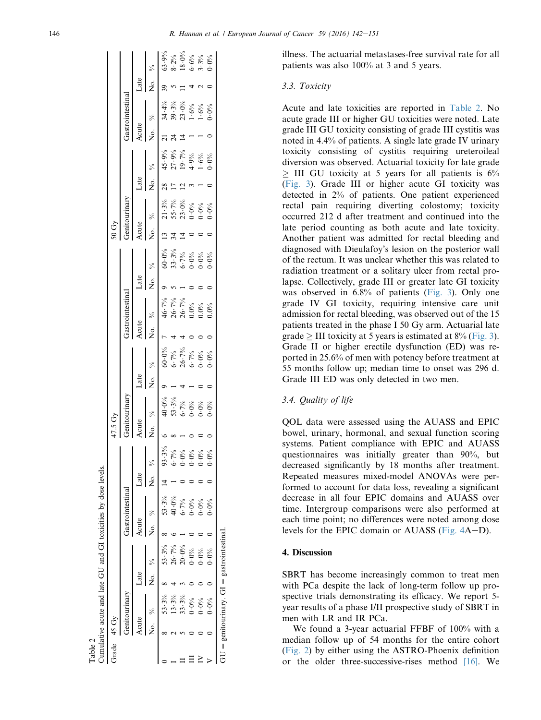| Grade | $45 \text{ Gy}$ |                                               |               |                  |      |                        |                |                | 47.5 Gy |                                                                                                                                                                                                                                                                                                                                                      |       |       |                 |       |                                                            | 50Gy           |                                                                            |               |       |                                                                     |      |                                                                                                                                                |
|-------|-----------------|-----------------------------------------------|---------------|------------------|------|------------------------|----------------|----------------|---------|------------------------------------------------------------------------------------------------------------------------------------------------------------------------------------------------------------------------------------------------------------------------------------------------------------------------------------------------------|-------|-------|-----------------|-------|------------------------------------------------------------|----------------|----------------------------------------------------------------------------|---------------|-------|---------------------------------------------------------------------|------|------------------------------------------------------------------------------------------------------------------------------------------------|
|       |                 |                                               |               |                  |      | <b>Fastrointestina</b> |                |                |         |                                                                                                                                                                                                                                                                                                                                                      |       |       | Gastrointestina |       |                                                            |                | ienitourinary                                                              |               |       | Gastrointestinal                                                    |      |                                                                                                                                                |
|       | smo             |                                               | Late          |                  | cute |                        | $_{\rm 14c}$   |                | Acute   |                                                                                                                                                                                                                                                                                                                                                      | Late  | Acute |                 | Late  |                                                            | Acute          |                                                                            | Late          | Acute |                                                                     | Late |                                                                                                                                                |
|       |                 |                                               | $\frac{1}{2}$ |                  |      |                        | $\overline{Q}$ |                |         | No. %                                                                                                                                                                                                                                                                                                                                                | No. % |       | No. %           | No. % |                                                            |                | No. $\%$                                                                   | No. %         |       | No. %                                                               |      | No. $\frac{\%}{\%}$<br>$\frac{39}{19}$<br>$\frac{63.9\%}{8.2\%}$<br>$\frac{8.2\%}{18.0\%}$<br>$\frac{18.6\%}{18.3\%}$<br>$\frac{3.3\%}{3.3\%}$ |
|       |                 | 3.3%                                          |               | 53.3%            |      | 53.3%                  |                | 93.3%          |         | $\frac{1}{3}$<br>$\frac{1}{3}$<br>$\frac{1}{3}$<br>$\frac{1}{3}$<br>$\frac{1}{3}$<br>$\frac{1}{3}$<br>$\frac{1}{3}$<br>$\frac{1}{3}$<br>$\frac{1}{3}$<br>$\frac{1}{3}$<br>$\frac{1}{3}$<br>$\frac{1}{3}$<br>$\frac{1}{3}$<br>$\frac{1}{3}$<br>$\frac{1}{3}$<br>$\frac{1}{3}$<br>$\frac{1}{3}$<br>$\frac{1}{3}$<br>$\frac{1}{3}$<br>$\frac{1}{3}$<br> |       |       |                 |       | $60.0%$<br>$33.3%$<br>$6.7%$<br>$6.0%$<br>$6.0%$<br>$6.0%$ | $\frac{13}{2}$ |                                                                            | $\frac{8}{2}$ |       |                                                                     |      |                                                                                                                                                |
|       |                 | 13.3%                                         |               | 26.7%            |      | 40.0%                  |                | $6 - 7\%$      |         |                                                                                                                                                                                                                                                                                                                                                      |       |       |                 |       |                                                            |                | $3\%$<br>$7\%$ $3\%$<br>$5\%$ $3\%$<br>$5\%$ $3\%$<br>$5\%$<br>$5\%$ $3\%$ |               |       | $34.4%$<br>$3.6%$<br>$3.6%$<br>$3.6%$<br>$3.6%$<br>$3.6%$<br>$3.6%$ |      |                                                                                                                                                |
|       |                 | 33.3%                                         |               | $20\!\cdot\!0\%$ |      | $6.7\%$                |                | $0.0\%$        |         |                                                                                                                                                                                                                                                                                                                                                      |       |       |                 |       |                                                            |                |                                                                            |               |       |                                                                     |      |                                                                                                                                                |
|       |                 | $0.0\%$                                       |               | $0.0\%$          |      | $0.0\%$                |                | $\dot{9}$      |         |                                                                                                                                                                                                                                                                                                                                                      |       |       |                 |       |                                                            |                |                                                                            |               |       |                                                                     |      |                                                                                                                                                |
|       |                 | $0.0\%$                                       |               | $0.0\%$          |      | $0.0\%$                |                | $0^\circ$      |         |                                                                                                                                                                                                                                                                                                                                                      |       |       |                 |       |                                                            |                |                                                                            |               |       |                                                                     |      |                                                                                                                                                |
|       |                 | $0.0\%$                                       |               | $0.0\%$          |      | $0.0\%$                |                | $\ddot{\cdot}$ |         |                                                                                                                                                                                                                                                                                                                                                      |       |       |                 |       |                                                            |                |                                                                            |               |       |                                                                     |      |                                                                                                                                                |
|       |                 | $GU =$ genitourinary. $GI =$ gastrointestinal |               |                  |      |                        |                |                |         |                                                                                                                                                                                                                                                                                                                                                      |       |       |                 |       |                                                            |                |                                                                            |               |       |                                                                     |      |                                                                                                                                                |

Table 2<br>Cumulative acute and late GU and GI toxicities by dose levels. Cumulative acute and late GU and GI toxicities by dose levels.

illness. The actuarial metastases-free survival rate for all patients was also 100% at 3 and 5 years.

#### 3.3. Toxicity

Acute and late toxicities are reported in Table 2. No acute grade III or higher GU toxicities were noted. Late grade III GU toxicity consisting of grade III cystitis was noted in 4.4% of patients. A single late grade IV urinary toxicity consisting of cystitis requiring ureteroileal diversion was observed. Actuarial toxicity for late grade  $\geq$  III GU toxicity at 5 years for all patients is 6% [\(Fig. 3\)](#page-5-0). Grade III or higher acute GI toxicity was detected in 2% of patients. One patient experienced rectal pain requiring diverting colostomy; toxicity occurred 212 d after treatment and continued into the late period counting as both acute and late toxicity. Another patient was admitted for rectal bleeding and diagnosed with Dieulafoy's lesion on the posterior wall of the rectum. It was unclear whether this was related to radiation treatment or a solitary ulcer from rectal prolapse. Collectively, grade III or greater late GI toxicity was observed in 6.8% of patients [\(Fig. 3](#page-5-0)). Only one grade IV GI toxicity, requiring intensive care unit admission for rectal bleeding, was observed out of the 15 patients treated in the phase I 50 Gy arm. Actuarial late grade  $\geq$  III toxicity at 5 years is estimated at 8% [\(Fig. 3\)](#page-5-0). Grade II or higher erectile dysfunction (ED) was reported in 25.6% of men with potency before treatment at 55 months follow up; median time to onset was 296 d. Grade III ED was only detected in two men.

## 3.4. Quality of life

QOL data were assessed using the AUASS and EPIC bowel, urinary, hormonal, and sexual function scoring systems. Patient compliance with EPIC and AUASS questionnaires was initially greater than 90%, but decreased significantly by 18 months after treatment. Repeated measures mixed-model ANOVAs were performed to account for data loss, revealing a significant decrease in all four EPIC domains and AUASS over time. Intergroup comparisons were also performed at each time point; no differences were noted among dose levels for the EPIC domain or AUASS (Fig.  $4A-D$ ).

# 4. Discussion

SBRT has become increasingly common to treat men with PCa despite the lack of long-term follow up prospective trials demonstrating its efficacy. We report 5 year results of a phase I/II prospective study of SBRT in men with LR and IR PCa.

We found a 3-year actuarial FFBF of 100% with a median follow up of 54 months for the entire cohort [\(Fig. 2\)](#page-3-0) by either using the ASTRO-Phoenix definition or the older three-successive-rises method  $[16]$ . We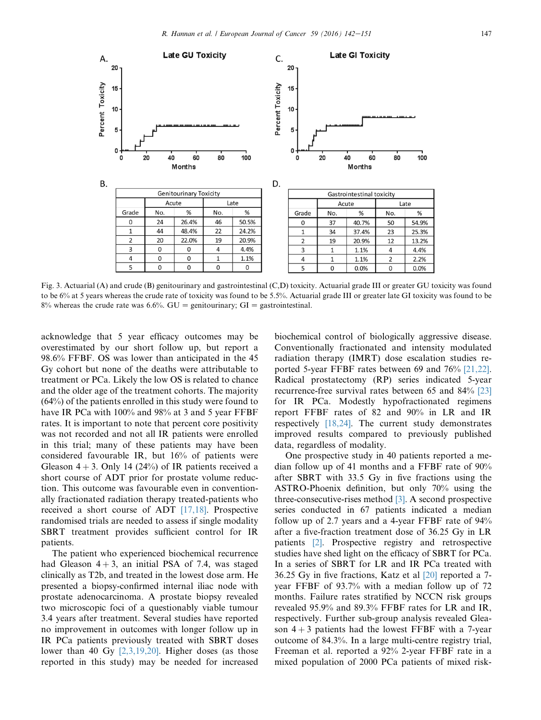<span id="page-5-0"></span>

Fig. 3. Actuarial (A) and crude (B) genitourinary and gastrointestinal (C,D) toxicity. Actuarial grade III or greater GU toxicity was found to be 6% at 5 years whereas the crude rate of toxicity was found to be 5.5%. Actuarial grade III or greater late GI toxicity was found to be 8% whereas the crude rate was 6.6%. GU = genitourinary; GI = gastrointestinal.

acknowledge that 5 year efficacy outcomes may be overestimated by our short follow up, but report a 98.6% FFBF. OS was lower than anticipated in the 45 Gy cohort but none of the deaths were attributable to treatment or PCa. Likely the low OS is related to chance and the older age of the treatment cohorts. The majority (64%) of the patients enrolled in this study were found to have IR PCa with 100% and 98% at 3 and 5 year FFBF rates. It is important to note that percent core positivity was not recorded and not all IR patients were enrolled in this trial; many of these patients may have been considered favourable IR, but 16% of patients were Gleason  $4 + 3$ . Only 14 (24%) of IR patients received a short course of ADT prior for prostate volume reduction. This outcome was favourable even in conventionally fractionated radiation therapy treated-patients who received a short course of ADT [\[17,18\]](#page-8-0). Prospective randomised trials are needed to assess if single modality SBRT treatment provides sufficient control for IR patients.

The patient who experienced biochemical recurrence had Gleason  $4 + 3$ , an initial PSA of 7.4, was staged clinically as T2b, and treated in the lowest dose arm. He presented a biopsy-confirmed internal iliac node with prostate adenocarcinoma. A prostate biopsy revealed two microscopic foci of a questionably viable tumour 3.4 years after treatment. Several studies have reported no improvement in outcomes with longer follow up in IR PCa patients previously treated with SBRT doses lower than 40 Gy  $[2,3,19,20]$ . Higher doses (as those reported in this study) may be needed for increased biochemical control of biologically aggressive disease. Conventionally fractionated and intensity modulated radiation therapy (IMRT) dose escalation studies reported 5-year FFBF rates between 69 and 76% [\[21,22\].](#page-8-0) Radical prostatectomy (RP) series indicated 5-year recurrence-free survival rates between 65 and 84% [\[23\]](#page-8-0) for IR PCa. Modestly hypofractionated regimens report FFBF rates of 82 and 90% in LR and IR respectively [\[18,24\]](#page-8-0). The current study demonstrates improved results compared to previously published data, regardless of modality.

One prospective study in 40 patients reported a median follow up of 41 months and a FFBF rate of 90% after SBRT with 33.5 Gy in five fractions using the ASTRO-Phoenix definition, but only 70% using the three-consecutive-rises method [\[3\].](#page-7-0) A second prospective series conducted in 67 patients indicated a median follow up of 2.7 years and a 4-year FFBF rate of 94% after a five-fraction treatment dose of 36.25 Gy in LR patients [\[2\].](#page-7-0) Prospective registry and retrospective studies have shed light on the efficacy of SBRT for PCa. In a series of SBRT for LR and IR PCa treated with 36.25 Gy in five fractions, Katz et al [\[20\]](#page-8-0) reported a 7 year FFBF of 93.7% with a median follow up of 72 months. Failure rates stratified by NCCN risk groups revealed 95.9% and 89.3% FFBF rates for LR and IR, respectively. Further sub-group analysis revealed Gleason  $4 + 3$  patients had the lowest FFBF with a 7-year outcome of 84.3%. In a large multi-centre registry trial, Freeman et al. reported a 92% 2-year FFBF rate in a mixed population of 2000 PCa patients of mixed risk-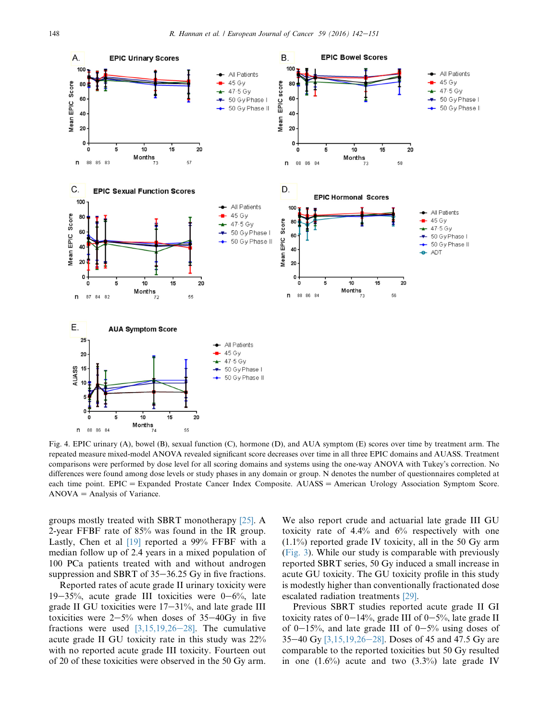<span id="page-6-0"></span>

Fig. 4. EPIC urinary (A), bowel (B), sexual function (C), hormone (D), and AUA symptom (E) scores over time by treatment arm. The repeated measure mixed-model ANOVA revealed significant score decreases over time in all three EPIC domains and AUASS. Treatment comparisons were performed by dose level for all scoring domains and systems using the one-way ANOVA with Tukey's correction. No differences were found among dose levels or study phases in any domain or group. N denotes the number of questionnaires completed at each time point. EPIC = Expanded Prostate Cancer Index Composite. AUASS = American Urology Association Symptom Score.  $ANOVA =$  Analysis of Variance.

groups mostly treated with SBRT monotherapy [\[25\]](#page-8-0). A 2-year FFBF rate of 85% was found in the IR group. Lastly, Chen et al [\[19\]](#page-8-0) reported a 99% FFBF with a median follow up of 2.4 years in a mixed population of 100 PCa patients treated with and without androgen suppression and SBRT of  $35-36.25$  Gy in five fractions.

Reported rates of acute grade II urinary toxicity were 19–35%, acute grade III toxicities were  $0-6\%$ , late grade II GU toxicities were  $17-31\%$ , and late grade III toxicities were  $2-5%$  when doses of 35-40Gy in five fractions were used  $[3,15,19,26-28]$  $[3,15,19,26-28]$ . The cumulative acute grade II GU toxicity rate in this study was 22% with no reported acute grade III toxicity. Fourteen out of 20 of these toxicities were observed in the 50 Gy arm.

We also report crude and actuarial late grade III GU toxicity rate of 4.4% and 6% respectively with one  $(1.1\%)$  reported grade IV toxicity, all in the 50 Gy arm [\(Fig. 3](#page-5-0)). While our study is comparable with previously reported SBRT series, 50 Gy induced a small increase in acute GU toxicity. The GU toxicity profile in this study is modestly higher than conventionally fractionated dose escalated radiation treatments [\[29\].](#page-8-0)

Previous SBRT studies reported acute grade II GI toxicity rates of  $0-14\%$ , grade III of  $0-5\%$ , late grade II of  $0-15%$ , and late grade III of  $0-5%$  using doses of 35–40 Gy  $[3,15,19,26-28]$  $[3,15,19,26-28]$ . Doses of 45 and 47.5 Gy are comparable to the reported toxicities but 50 Gy resulted in one  $(1.6\%)$  acute and two  $(3.3\%)$  late grade IV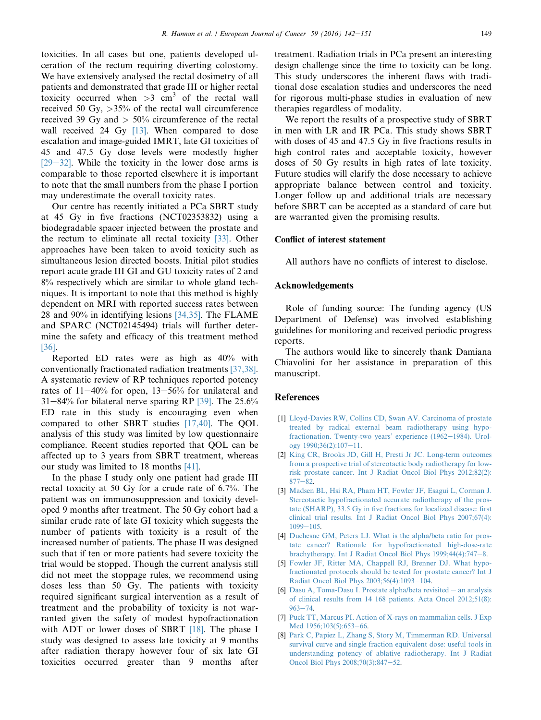<span id="page-7-0"></span>toxicities. In all cases but one, patients developed ulceration of the rectum requiring diverting colostomy. We have extensively analysed the rectal dosimetry of all patients and demonstrated that grade III or higher rectal toxicity occurred when  $>3$  cm<sup>3</sup> of the rectal wall received 50 Gy,  $>35\%$  of the rectal wall circumference received 39 Gy and  $> 50\%$  circumference of the rectal wall received 24 Gy [\[13\]](#page-8-0). When compared to dose escalation and image-guided IMRT, late GI toxicities of 45 and 47.5 Gy dose levels were modestly higher  $[29-32]$  $[29-32]$  $[29-32]$ . While the toxicity in the lower dose arms is comparable to those reported elsewhere it is important to note that the small numbers from the phase I portion may underestimate the overall toxicity rates.

Our centre has recently initiated a PCa SBRT study at 45 Gy in five fractions (NCT02353832) using a biodegradable spacer injected between the prostate and the rectum to eliminate all rectal toxicity  $[33]$ . Other approaches have been taken to avoid toxicity such as simultaneous lesion directed boosts. Initial pilot studies report acute grade III GI and GU toxicity rates of 2 and 8% respectively which are similar to whole gland techniques. It is important to note that this method is highly dependent on MRI with reported success rates between 28 and 90% in identifying lesions [\[34,35\].](#page-8-0) The FLAME and SPARC (NCT02145494) trials will further determine the safety and efficacy of this treatment method [\[36\].](#page-8-0)

Reported ED rates were as high as 40% with conventionally fractionated radiation treatments [\[37,38\].](#page-8-0) A systematic review of RP techniques reported potency rates of  $11-40\%$  for open,  $13-56\%$  for unilateral and  $31-84\%$  for bilateral nerve sparing RP [\[39\].](#page-8-0) The 25.6% ED rate in this study is encouraging even when compared to other SBRT studies [\[17,40\].](#page-8-0) The QOL analysis of this study was limited by low questionnaire compliance. Recent studies reported that QOL can be affected up to 3 years from SBRT treatment, whereas our study was limited to 18 months [\[41\]](#page-9-0).

In the phase I study only one patient had grade III rectal toxicity at 50 Gy for a crude rate of 6.7%. The patient was on immunosuppression and toxicity developed 9 months after treatment. The 50 Gy cohort had a similar crude rate of late GI toxicity which suggests the number of patients with toxicity is a result of the increased number of patients. The phase II was designed such that if ten or more patients had severe toxicity the trial would be stopped. Though the current analysis still did not meet the stoppage rules, we recommend using doses less than 50 Gy. The patients with toxicity required significant surgical intervention as a result of treatment and the probability of toxicity is not warranted given the safety of modest hypofractionation with ADT or lower doses of SBRT [\[18\]](#page-8-0). The phase I study was designed to assess late toxicity at 9 months after radiation therapy however four of six late GI toxicities occurred greater than 9 months after treatment. Radiation trials in PCa present an interesting design challenge since the time to toxicity can be long. This study underscores the inherent flaws with traditional dose escalation studies and underscores the need for rigorous multi-phase studies in evaluation of new therapies regardless of modality.

We report the results of a prospective study of SBRT in men with LR and IR PCa. This study shows SBRT with doses of 45 and 47.5 Gy in five fractions results in high control rates and acceptable toxicity, however doses of 50 Gy results in high rates of late toxicity. Future studies will clarify the dose necessary to achieve appropriate balance between control and toxicity. Longer follow up and additional trials are necessary before SBRT can be accepted as a standard of care but are warranted given the promising results.

# Conflict of interest statement

All authors have no conflicts of interest to disclose.

## Acknowledgements

Role of funding source: The funding agency (US Department of Defense) was involved establishing guidelines for monitoring and received periodic progress reports.

The authors would like to sincerely thank Damiana Chiavolini for her assistance in preparation of this manuscript.

#### References

- [1] [Lloyd-Davies RW, Collins CD, Swan AV. Carcinoma of prostate](http://refhub.elsevier.com/S0959-8049(16)00129-5/sref1) [treated by radical external beam radiotherapy using hypo](http://refhub.elsevier.com/S0959-8049(16)00129-5/sref1)[fractionation. Twenty-two years' experience \(1962](http://refhub.elsevier.com/S0959-8049(16)00129-5/sref1)-[1984\). Urol](http://refhub.elsevier.com/S0959-8049(16)00129-5/sref1)ogy  $1990;36(2):107-11$ .
- [2] [King CR, Brooks JD, Gill H, Presti Jr JC. Long-term outcomes](http://refhub.elsevier.com/S0959-8049(16)00129-5/sref2) [from a prospective trial of stereotactic body radiotherapy for low](http://refhub.elsevier.com/S0959-8049(16)00129-5/sref2)[risk prostate cancer. Int J Radiat Oncol Biol Phys 2012;82\(2\):](http://refhub.elsevier.com/S0959-8049(16)00129-5/sref2)  $877 - 82.$  $877 - 82.$  $877 - 82.$  $877 - 82.$
- [3] [Madsen BL, Hsi RA, Pham HT, Fowler JF, Esagui L, Corman J.](http://refhub.elsevier.com/S0959-8049(16)00129-5/sref3) [Stereotactic hypofractionated accurate radiotherapy of the pros](http://refhub.elsevier.com/S0959-8049(16)00129-5/sref3)[tate \(SHARP\), 33.5 Gy in five fractions for localized disease: first](http://refhub.elsevier.com/S0959-8049(16)00129-5/sref3) [clinical trial results. Int J Radiat Oncol Biol Phys 2007;67\(4\):](http://refhub.elsevier.com/S0959-8049(16)00129-5/sref3)  $1099 - 105$  $1099 - 105$  $1099 - 105$ .
- [4] [Duchesne GM, Peters LJ. What is the alpha/beta ratio for pros](http://refhub.elsevier.com/S0959-8049(16)00129-5/sref4)[tate cancer? Rationale for hypofractionated high-dose-rate](http://refhub.elsevier.com/S0959-8049(16)00129-5/sref4) brachytherapy. Int J Radiat Oncol Biol Phys  $1999;44(4):747-8$  $1999;44(4):747-8$ .
- [5] [Fowler JF, Ritter MA, Chappell RJ, Brenner DJ. What hypo](http://refhub.elsevier.com/S0959-8049(16)00129-5/sref5)[fractionated protocols should be tested for prostate cancer? Int J](http://refhub.elsevier.com/S0959-8049(16)00129-5/sref5) [Radiat Oncol Biol Phys 2003;56\(4\):1093](http://refhub.elsevier.com/S0959-8049(16)00129-5/sref5)-[104](http://refhub.elsevier.com/S0959-8049(16)00129-5/sref5).
- [6] [Dasu A, Toma-Dasu I. Prostate alpha/beta revisited](http://refhub.elsevier.com/S0959-8049(16)00129-5/sref6)  $-$  [an analysis](http://refhub.elsevier.com/S0959-8049(16)00129-5/sref6) [of clinical results from 14 168 patients. Acta Oncol 2012;51\(8\):](http://refhub.elsevier.com/S0959-8049(16)00129-5/sref6)  $963 - 74$  $963 - 74$  $963 - 74$
- [7] [Puck TT, Marcus PI. Action of X-rays on mammalian cells. J Exp](http://refhub.elsevier.com/S0959-8049(16)00129-5/sref7) [Med 1956;103\(5\):653](http://refhub.elsevier.com/S0959-8049(16)00129-5/sref7)-[66](http://refhub.elsevier.com/S0959-8049(16)00129-5/sref7).
- [8] [Park C, Papiez L, Zhang S, Story M, Timmerman RD. Universal](http://refhub.elsevier.com/S0959-8049(16)00129-5/sref8) [survival curve and single fraction equivalent dose: useful tools in](http://refhub.elsevier.com/S0959-8049(16)00129-5/sref8) [understanding potency of ablative radiotherapy. Int J Radiat](http://refhub.elsevier.com/S0959-8049(16)00129-5/sref8) [Oncol Biol Phys 2008;70\(3\):847](http://refhub.elsevier.com/S0959-8049(16)00129-5/sref8)-[52.](http://refhub.elsevier.com/S0959-8049(16)00129-5/sref8)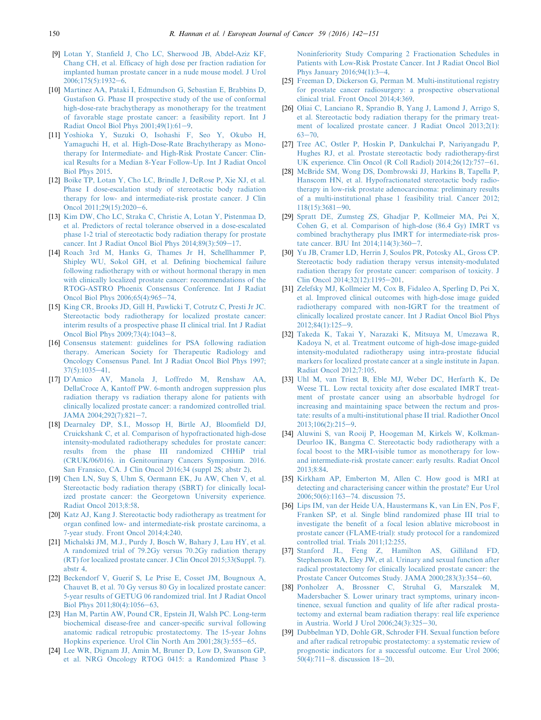- <span id="page-8-0"></span>[9] [Lotan Y, Stanfield J, Cho LC, Sherwood JB, Abdel-Aziz KF,](http://refhub.elsevier.com/S0959-8049(16)00129-5/sref9) [Chang CH, et al. Efficacy of high dose per fraction radiation for](http://refhub.elsevier.com/S0959-8049(16)00129-5/sref9) [implanted human prostate cancer in a nude mouse model. J Urol](http://refhub.elsevier.com/S0959-8049(16)00129-5/sref9)  $2006;175(5):1932-6.$  $2006;175(5):1932-6.$  $2006;175(5):1932-6.$  $2006;175(5):1932-6.$
- [10] [Martinez AA, Pataki I, Edmundson G, Sebastian E, Brabbins D,](http://refhub.elsevier.com/S0959-8049(16)00129-5/sref10) [Gustafson G. Phase II prospective study of the use of conformal](http://refhub.elsevier.com/S0959-8049(16)00129-5/sref10) [high-dose-rate brachytherapy as monotherapy for the treatment](http://refhub.elsevier.com/S0959-8049(16)00129-5/sref10) [of favorable stage prostate cancer: a feasibility report. Int J](http://refhub.elsevier.com/S0959-8049(16)00129-5/sref10) Radiat Oncol Biol Phys  $2001;49(1):61-9$ .
- [11] [Yoshioka Y, Suzuki O, Isohashi F, Seo Y, Okubo H,](http://refhub.elsevier.com/S0959-8049(16)00129-5/sref11) [Yamaguchi H, et al. High-Dose-Rate Brachytherapy as Mono](http://refhub.elsevier.com/S0959-8049(16)00129-5/sref11)[therapy for Intermediate- and High-Risk Prostate Cancer: Clin](http://refhub.elsevier.com/S0959-8049(16)00129-5/sref11)[ical Results for a Median 8-Year Follow-Up. Int J Radiat Oncol](http://refhub.elsevier.com/S0959-8049(16)00129-5/sref11) [Biol Phys 2015](http://refhub.elsevier.com/S0959-8049(16)00129-5/sref11).
- [12] [Boike TP, Lotan Y, Cho LC, Brindle J, DeRose P, Xie XJ, et al.](http://refhub.elsevier.com/S0959-8049(16)00129-5/sref12) [Phase I dose-escalation study of stereotactic body radiation](http://refhub.elsevier.com/S0959-8049(16)00129-5/sref12) [therapy for low- and intermediate-risk prostate cancer. J Clin](http://refhub.elsevier.com/S0959-8049(16)00129-5/sref12) Oncol  $2011:29(15):2020-6$  $2011:29(15):2020-6$ .
- [13] [Kim DW, Cho LC, Straka C, Christie A, Lotan Y, Pistenmaa D,](http://refhub.elsevier.com/S0959-8049(16)00129-5/sref13) [et al. Predictors of rectal tolerance observed in a dose-escalated](http://refhub.elsevier.com/S0959-8049(16)00129-5/sref13) [phase 1-2 trial of stereotactic body radiation therapy for prostate](http://refhub.elsevier.com/S0959-8049(16)00129-5/sref13) cancer. Int J Radiat Oncol Biol Phys  $2014;89(3):509-17$  $2014;89(3):509-17$ .
- [14] [Roach 3rd M, Hanks G, Thames Jr H, Schellhammer P,](http://refhub.elsevier.com/S0959-8049(16)00129-5/sref14) [Shipley WU, Sokol GH, et al. Defining biochemical failure](http://refhub.elsevier.com/S0959-8049(16)00129-5/sref14) [following radiotherapy with or without hormonal therapy in men](http://refhub.elsevier.com/S0959-8049(16)00129-5/sref14) [with clinically localized prostate cancer: recommendations of the](http://refhub.elsevier.com/S0959-8049(16)00129-5/sref14) [RTOG-ASTRO Phoenix Consensus Conference. Int J Radiat](http://refhub.elsevier.com/S0959-8049(16)00129-5/sref14) [Oncol Biol Phys 2006;65\(4\):965](http://refhub.elsevier.com/S0959-8049(16)00129-5/sref14)-[74.](http://refhub.elsevier.com/S0959-8049(16)00129-5/sref14)
- [15] [King CR, Brooks JD, Gill H, Pawlicki T, Cotrutz C, Presti Jr JC.](http://refhub.elsevier.com/S0959-8049(16)00129-5/sref15) [Stereotactic body radiotherapy for localized prostate cancer:](http://refhub.elsevier.com/S0959-8049(16)00129-5/sref15) [interim results of a prospective phase II clinical trial. Int J Radiat](http://refhub.elsevier.com/S0959-8049(16)00129-5/sref15) [Oncol Biol Phys 2009;73\(4\):1043](http://refhub.elsevier.com/S0959-8049(16)00129-5/sref15)-[8.](http://refhub.elsevier.com/S0959-8049(16)00129-5/sref15)
- [16] [Consensus statement: guidelines for PSA following radiation](http://refhub.elsevier.com/S0959-8049(16)00129-5/sref16) [therapy. American Society for Therapeutic Radiology and](http://refhub.elsevier.com/S0959-8049(16)00129-5/sref16) [Oncology Consensus Panel. Int J Radiat Oncol Biol Phys 1997;](http://refhub.elsevier.com/S0959-8049(16)00129-5/sref16)  $37(5):1035-41.$  $37(5):1035-41.$  $37(5):1035-41.$  $37(5):1035-41.$
- [17] [D'Amico AV, Manola J, Loffredo M, Renshaw AA,](http://refhub.elsevier.com/S0959-8049(16)00129-5/sref17) [DellaCroce A, Kantoff PW. 6-month androgen suppression plus](http://refhub.elsevier.com/S0959-8049(16)00129-5/sref17) [radiation therapy vs radiation therapy alone for patients with](http://refhub.elsevier.com/S0959-8049(16)00129-5/sref17) [clinically localized prostate cancer: a randomized controlled trial.](http://refhub.elsevier.com/S0959-8049(16)00129-5/sref17) JAMA  $2004:292(7):821-7$ .
- [18] [Dearnaley DP, S.I., Mossop H, Birtle AJ, Bloomfield DJ,](http://refhub.elsevier.com/S0959-8049(16)00129-5/sref18) [Cruickshank C, et al. Comparison of hypofractionated high-dose](http://refhub.elsevier.com/S0959-8049(16)00129-5/sref18) [intensity-modulated radiotherapy schedules for prostate cancer:](http://refhub.elsevier.com/S0959-8049(16)00129-5/sref18) [results from the phase III randomized CHHiP trial](http://refhub.elsevier.com/S0959-8049(16)00129-5/sref18) [\(CRUK/06/016\). in Genitourinary Cancers Symposium. 2016.](http://refhub.elsevier.com/S0959-8049(16)00129-5/sref18) [San Fransico, CA. J Clin Oncol 2016;34 \(suppl 2S; abstr 2\).](http://refhub.elsevier.com/S0959-8049(16)00129-5/sref18)
- [19] [Chen LN, Suy S, Uhm S, Oermann EK, Ju AW, Chen V, et al.](http://refhub.elsevier.com/S0959-8049(16)00129-5/sref19) [Stereotactic body radiation therapy \(SBRT\) for clinically local](http://refhub.elsevier.com/S0959-8049(16)00129-5/sref19)[ized prostate cancer: the Georgetown University experience.](http://refhub.elsevier.com/S0959-8049(16)00129-5/sref19) [Radiat Oncol 2013;8:58](http://refhub.elsevier.com/S0959-8049(16)00129-5/sref19).
- [20] [Katz AJ, Kang J. Stereotactic body radiotherapy as treatment for](http://refhub.elsevier.com/S0959-8049(16)00129-5/sref20) [organ confined low- and intermediate-risk prostate carcinoma, a](http://refhub.elsevier.com/S0959-8049(16)00129-5/sref20) [7-year study. Front Oncol 2014;4:240.](http://refhub.elsevier.com/S0959-8049(16)00129-5/sref20)
- [21] [Michalski JM, M.J., Purdy J, Bosch W, Bahary J, Lau HY, et al.](http://refhub.elsevier.com/S0959-8049(16)00129-5/sref21) [A randomized trial of 79.2Gy versus 70.2Gy radiation therapy](http://refhub.elsevier.com/S0959-8049(16)00129-5/sref21) [\(RT\) for localized prostate cancer. J Clin Oncol 2015;33\(Suppl. 7\).](http://refhub.elsevier.com/S0959-8049(16)00129-5/sref21) [abstr 4.](http://refhub.elsevier.com/S0959-8049(16)00129-5/sref21)
- [22] [Beckendorf V, Guerif S, Le Prise E, Cosset JM, Bougnoux A,](http://refhub.elsevier.com/S0959-8049(16)00129-5/sref22) [Chauvet B, et al. 70 Gy versus 80 Gy in localized prostate cancer:](http://refhub.elsevier.com/S0959-8049(16)00129-5/sref22) [5-year results of GETUG 06 randomized trial. Int J Radiat Oncol](http://refhub.elsevier.com/S0959-8049(16)00129-5/sref22) Biol Phys  $2011:80(4):1056-63$ .
- [23] [Han M, Partin AW, Pound CR, Epstein JI, Walsh PC. Long-term](http://refhub.elsevier.com/S0959-8049(16)00129-5/sref23) [biochemical disease-free and cancer-specific survival following](http://refhub.elsevier.com/S0959-8049(16)00129-5/sref23) [anatomic radical retropubic prostatectomy. The 15-year Johns](http://refhub.elsevier.com/S0959-8049(16)00129-5/sref23) [Hopkins experience. Urol Clin North Am 2001;28\(3\):555](http://refhub.elsevier.com/S0959-8049(16)00129-5/sref23)-[65](http://refhub.elsevier.com/S0959-8049(16)00129-5/sref23).
- [24] [Lee WR, Dignam JJ, Amin M, Bruner D, Low D, Swanson GP,](http://refhub.elsevier.com/S0959-8049(16)00129-5/sref42) [et al. NRG Oncology RTOG 0415: a Randomized Phase 3](http://refhub.elsevier.com/S0959-8049(16)00129-5/sref42)

[Noninferiority Study Comparing 2 Fractionation Schedules in](http://refhub.elsevier.com/S0959-8049(16)00129-5/sref42) [Patients with Low-Risk Prostate Cancer. Int J Radiat Oncol Biol](http://refhub.elsevier.com/S0959-8049(16)00129-5/sref42) Phys January  $2016;94(1):3-4$  $2016;94(1):3-4$  $2016;94(1):3-4$ .

- [25] [Freeman D, Dickerson G, Perman M. Multi-institutional registry](http://refhub.elsevier.com/S0959-8049(16)00129-5/sref25) [for prostate cancer radiosurgery: a prospective observational](http://refhub.elsevier.com/S0959-8049(16)00129-5/sref25) [clinical trial. Front Oncol 2014;4:369](http://refhub.elsevier.com/S0959-8049(16)00129-5/sref25).
- [26] [Oliai C, Lanciano R, Sprandio B, Yang J, Lamond J, Arrigo S,](http://refhub.elsevier.com/S0959-8049(16)00129-5/sref26) [et al. Stereotactic body radiation therapy for the primary treat](http://refhub.elsevier.com/S0959-8049(16)00129-5/sref26)[ment of localized prostate cancer. J Radiat Oncol 2013;2\(1\):](http://refhub.elsevier.com/S0959-8049(16)00129-5/sref26)  $63 - 70.$  $63 - 70.$  $63 - 70.$
- [27] [Tree AC, Ostler P, Hoskin P, Dankulchai P, Nariyangadu P,](http://refhub.elsevier.com/S0959-8049(16)00129-5/sref27) [Hughes RJ, et al. Prostate stereotactic body radiotherapy-first](http://refhub.elsevier.com/S0959-8049(16)00129-5/sref27) UK experience. Clin Oncol (R Coll Radiol)  $2014;26(12):757-61$  $2014;26(12):757-61$ .
- [28] [McBride SM, Wong DS, Dombrowski JJ, Harkins B, Tapella P,](http://refhub.elsevier.com/S0959-8049(16)00129-5/sref28) [Hanscom HN, et al. Hypofractionated stereotactic body radio](http://refhub.elsevier.com/S0959-8049(16)00129-5/sref28)[therapy in low-risk prostate adenocarcinoma: preliminary results](http://refhub.elsevier.com/S0959-8049(16)00129-5/sref28) [of a multi-institutional phase 1 feasibility trial. Cancer 2012;](http://refhub.elsevier.com/S0959-8049(16)00129-5/sref28)  $118(15):3681-90.$  $118(15):3681-90.$  $118(15):3681-90.$  $118(15):3681-90.$
- [29] [Spratt DE, Zumsteg ZS, Ghadjar P, Kollmeier MA, Pei X,](http://refhub.elsevier.com/S0959-8049(16)00129-5/sref29) [Cohen G, et al. Comparison of high-dose \(86.4 Gy\) IMRT vs](http://refhub.elsevier.com/S0959-8049(16)00129-5/sref29) [combined brachytherapy plus IMRT for intermediate-risk pros](http://refhub.elsevier.com/S0959-8049(16)00129-5/sref29)tate cancer. BJU Int  $2014;114(3):360-7$  $2014;114(3):360-7$ .
- [30] [Yu JB, Cramer LD, Herrin J, Soulos PR, Potosky AL, Gross CP.](http://refhub.elsevier.com/S0959-8049(16)00129-5/sref30) [Stereotactic body radiation therapy versus intensity-modulated](http://refhub.elsevier.com/S0959-8049(16)00129-5/sref30) [radiation therapy for prostate cancer: comparison of toxicity. J](http://refhub.elsevier.com/S0959-8049(16)00129-5/sref30) [Clin Oncol 2014;32\(12\):1195](http://refhub.elsevier.com/S0959-8049(16)00129-5/sref30)-[201](http://refhub.elsevier.com/S0959-8049(16)00129-5/sref30).
- [31] [Zelefsky MJ, Kollmeier M, Cox B, Fidaleo A, Sperling D, Pei X,](http://refhub.elsevier.com/S0959-8049(16)00129-5/sref31) [et al. Improved clinical outcomes with high-dose image guided](http://refhub.elsevier.com/S0959-8049(16)00129-5/sref31) [radiotherapy compared with non-IGRT for the treatment of](http://refhub.elsevier.com/S0959-8049(16)00129-5/sref31) [clinically localized prostate cancer. Int J Radiat Oncol Biol Phys](http://refhub.elsevier.com/S0959-8049(16)00129-5/sref31)  $2012:84(1):125-9.$  $2012:84(1):125-9.$  $2012:84(1):125-9.$
- [32] [Takeda K, Takai Y, Narazaki K, Mitsuya M, Umezawa R,](http://refhub.elsevier.com/S0959-8049(16)00129-5/sref32) [Kadoya N, et al. Treatment outcome of high-dose image-guided](http://refhub.elsevier.com/S0959-8049(16)00129-5/sref32) [intensity-modulated radiotherapy using intra-prostate fiducial](http://refhub.elsevier.com/S0959-8049(16)00129-5/sref32) [markers for localized prostate cancer at a single institute in Japan.](http://refhub.elsevier.com/S0959-8049(16)00129-5/sref32) [Radiat Oncol 2012;7:105](http://refhub.elsevier.com/S0959-8049(16)00129-5/sref32).
- [33] [Uhl M, van Triest B, Eble MJ, Weber DC, Herfarth K, De](http://refhub.elsevier.com/S0959-8049(16)00129-5/sref33) [Weese TL. Low rectal toxicity after dose escalated IMRT treat](http://refhub.elsevier.com/S0959-8049(16)00129-5/sref33)[ment of prostate cancer using an absorbable hydrogel for](http://refhub.elsevier.com/S0959-8049(16)00129-5/sref33) [increasing and maintaining space between the rectum and pros](http://refhub.elsevier.com/S0959-8049(16)00129-5/sref33)[tate: results of a multi-institutional phase II trial. Radiother Oncol](http://refhub.elsevier.com/S0959-8049(16)00129-5/sref33)  $2013;106(2):215-9.$  $2013;106(2):215-9.$  $2013;106(2):215-9.$  $2013;106(2):215-9.$
- [34] [Aluwini S, van Rooij P, Hoogeman M, Kirkels W, Kolkman-](http://refhub.elsevier.com/S0959-8049(16)00129-5/sref34)[Deurloo IK, Bangma C. Stereotactic body radiotherapy with a](http://refhub.elsevier.com/S0959-8049(16)00129-5/sref34) [focal boost to the MRI-visible tumor as monotherapy for low](http://refhub.elsevier.com/S0959-8049(16)00129-5/sref34)[and intermediate-risk prostate cancer: early results. Radiat Oncol](http://refhub.elsevier.com/S0959-8049(16)00129-5/sref34) [2013;8:84](http://refhub.elsevier.com/S0959-8049(16)00129-5/sref34).
- [35] [Kirkham AP, Emberton M, Allen C. How good is MRI at](http://refhub.elsevier.com/S0959-8049(16)00129-5/sref35) [detecting and characterising cancer within the prostate? Eur Urol](http://refhub.elsevier.com/S0959-8049(16)00129-5/sref35) [2006;50\(6\):1163](http://refhub.elsevier.com/S0959-8049(16)00129-5/sref35)-[74. discussion 75](http://refhub.elsevier.com/S0959-8049(16)00129-5/sref35).
- [36] [Lips IM, van der Heide UA, Haustermans K, van Lin EN, Pos F,](http://refhub.elsevier.com/S0959-8049(16)00129-5/sref36) [Franken SP, et al. Single blind randomized phase III trial to](http://refhub.elsevier.com/S0959-8049(16)00129-5/sref36) [investigate the benefit of a focal lesion ablative microboost in](http://refhub.elsevier.com/S0959-8049(16)00129-5/sref36) [prostate cancer \(FLAME-trial\): study protocol for a randomized](http://refhub.elsevier.com/S0959-8049(16)00129-5/sref36) [controlled trial. Trials 2011;12:255](http://refhub.elsevier.com/S0959-8049(16)00129-5/sref36).
- [37] [Stanford JL, Feng Z, Hamilton AS, Gilliland FD,](http://refhub.elsevier.com/S0959-8049(16)00129-5/sref37) [Stephenson RA, Eley JW, et al. Urinary and sexual function after](http://refhub.elsevier.com/S0959-8049(16)00129-5/sref37) [radical prostatectomy for clinically localized prostate cancer: the](http://refhub.elsevier.com/S0959-8049(16)00129-5/sref37) [Prostate Cancer Outcomes Study. JAMA 2000;283\(3\):354](http://refhub.elsevier.com/S0959-8049(16)00129-5/sref37)-[60](http://refhub.elsevier.com/S0959-8049(16)00129-5/sref37).
- [38] [Ponholzer A, Brossner C, Struhal G, Marszalek M,](http://refhub.elsevier.com/S0959-8049(16)00129-5/sref38) [Madersbacher S. Lower urinary tract symptoms, urinary incon](http://refhub.elsevier.com/S0959-8049(16)00129-5/sref38)[tinence, sexual function and quality of life after radical prosta](http://refhub.elsevier.com/S0959-8049(16)00129-5/sref38)[tectomy and external beam radiation therapy: real life experience](http://refhub.elsevier.com/S0959-8049(16)00129-5/sref38) [in Austria. World J Urol 2006;24\(3\):325](http://refhub.elsevier.com/S0959-8049(16)00129-5/sref38)-[30](http://refhub.elsevier.com/S0959-8049(16)00129-5/sref38).
- [39] [Dubbelman YD, Dohle GR, Schroder FH. Sexual function before](http://refhub.elsevier.com/S0959-8049(16)00129-5/sref39) [and after radical retropubic prostatectomy: a systematic review of](http://refhub.elsevier.com/S0959-8049(16)00129-5/sref39) [prognostic indicators for a successful outcome. Eur Urol 2006;](http://refhub.elsevier.com/S0959-8049(16)00129-5/sref39) [50\(4\):711](http://refhub.elsevier.com/S0959-8049(16)00129-5/sref39)-[8. discussion 18](http://refhub.elsevier.com/S0959-8049(16)00129-5/sref39)-[20](http://refhub.elsevier.com/S0959-8049(16)00129-5/sref39).